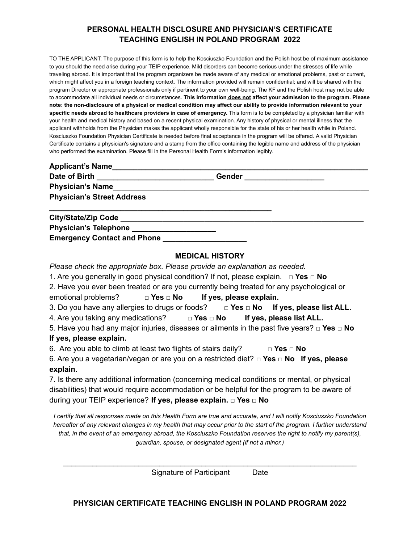# **PERSONAL HEALTH DISCLOSURE AND PHYSICIAN'S CERTIFICATE TEACHING ENGLISH IN POLAND PROGRAM 2022**

TO THE APPLICANT: The purpose of this form is to help the Kosciuszko Foundation and the Polish host be of maximum assistance to you should the need arise during your TEIP experience. Mild disorders can become serious under the stresses of life while traveling abroad. It is important that the program organizers be made aware of any medical or emotional problems, past or current, which might affect you in a foreign teaching context. The information provided will remain confidential; and will be shared with the program Director or appropriate professionals only if pertinent to your own well-being. The KF and the Polish host may not be able to accommodate all individual needs or circumstances. **This information does not affect your admission to the program. Please** note: the non-disclosure of a physical or medical condition may affect our ability to provide information relevant to your **specific needs abroad to healthcare providers in case of emergency.** This form is to be completed by a physician familiar with your health and medical history and based on a recent physical examination. Any history of physical or mental illness that the applicant withholds from the Physician makes the applicant wholly responsible for the state of his or her health while in Poland. Kosciuszko Foundation Physician Certificate is needed before final acceptance in the program will be offered. A valid Physician Certificate contains a physician's signature and a stamp from the office containing the legible name and address of the physician who performed the examination. Please fill in the Personal Health Form's information legibly.

| <b>Applicant's Name</b>                           |               |  |
|---------------------------------------------------|---------------|--|
| Date of Birth _______________<br>Physician's Name | <b>Gender</b> |  |
|                                                   |               |  |
| <b>Physician's Street Address</b>                 |               |  |
|                                                   |               |  |
| Physician's Telephone ________________________    |               |  |
| <b>Emergency Contact and Phone</b>                |               |  |

#### **MEDICAL HISTORY**

*Please check the appropriate box. Please provide an explanation as needed.*

- 1. Are you generally in good physical condition? If not, please explain. **□ Yes □ No**
- 2. Have you ever been treated or are you currently being treated for any psychological or
- emotional problems? **□ Yes □ No If yes, please explain.**
- 3. Do you have any allergies to drugs or foods? **□ Yes □ No If yes, please list ALL.**
- 4. Are you taking any medications? **□ Yes □ No If yes, please list ALL.**

5. Have you had any major injuries, diseases or ailments in the past five years? **□ Yes □ No If yes, please explain.**

6. Are you able to climb at least two flights of stairs daily? **□ Yes □ No**

6. Are you a vegetarian/vegan or are you on a restricted diet? **□ Yes □ No If yes, please explain.**

7. Is there any additional information (concerning medical conditions or mental, or physical disabilities) that would require accommodation or be helpful for the program to be aware of during your TEIP experience? **If yes, please explain. □ Yes □ No**

*I certify that all responses made on this Health Form are true and accurate, and I will notify Kosciuszko Foundation hereafter of any relevant changes in my health that may occur prior to the start of the program. I further understand that, in the event of an emergency abroad, the Kosciuszko Foundation reserves the right to notify my parent(s), guardian, spouse, or designated agent (if not a minor.)*

\_\_\_\_\_\_\_\_\_\_\_\_\_\_\_\_\_\_\_\_\_\_\_\_\_\_\_\_\_\_\_\_\_\_\_\_\_\_\_\_\_\_\_\_\_\_\_\_\_\_\_\_\_\_\_\_\_\_\_\_\_\_\_\_\_\_\_\_\_\_ Signature of Participant Date